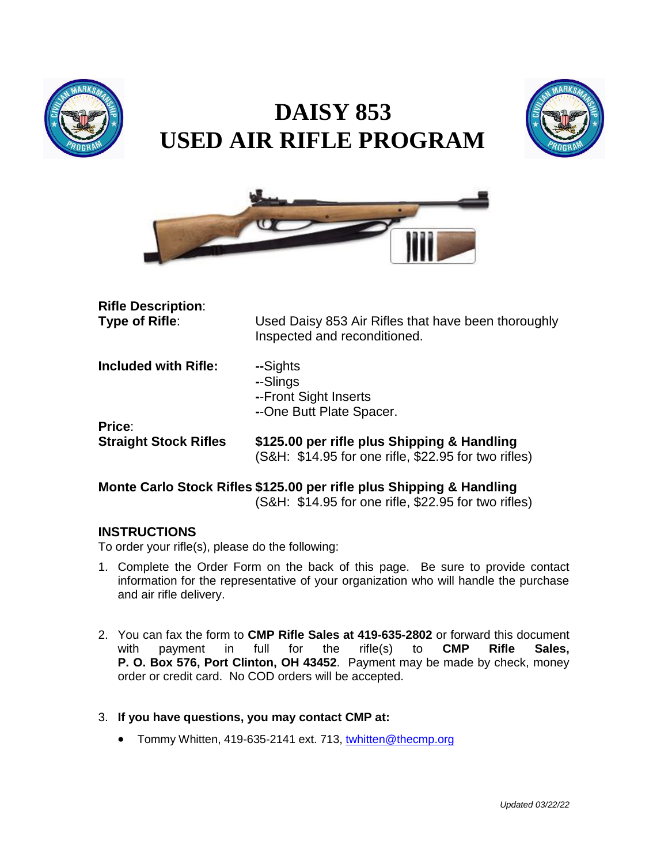

# **DAISY 853 USED AIR RIFLE PROGRAM**





| <b>Rifle Description:</b><br>Type of Rifle: | Used Daisy 853 Air Rifles that have been thoroughly<br>Inspected and reconditioned. |  |
|---------------------------------------------|-------------------------------------------------------------------------------------|--|
| <b>Included with Rifle:</b>                 | --Sights<br>--Slings<br>--Front Sight Inserts<br>--One Butt Plate Spacer.           |  |
| Price:<br><b>Straight Stock Rifles</b>      | \$125.00 per rifle plus Shipping & Handling                                         |  |
|                                             | (S&H: \$14.95 for one rifle, \$22.95 for two rifles)                                |  |

### **Monte Carlo Stock Rifles \$125.00 per rifle plus Shipping & Handling** (S&H: \$14.95 for one rifle, \$22.95 for two rifles)

#### **INSTRUCTIONS**

To order your rifle(s), please do the following:

- 1. Complete the Order Form on the back of this page. Be sure to provide contact information for the representative of your organization who will handle the purchase and air rifle delivery.
- 2. You can fax the form to **CMP Rifle Sales at 419-635-2802** or forward this document with payment in full for the rifle(s) to **CMP Rifle Sales, P. O. Box 576, Port Clinton, OH 43452**. Payment may be made by check, money order or credit card. No COD orders will be accepted.

#### 3. **If you have questions, you may contact CMP at:**

• Tommy Whitten, 419-635-2141 ext. 713, [twhitten@thecmp.org](mailto:twhitten@thecmp.org)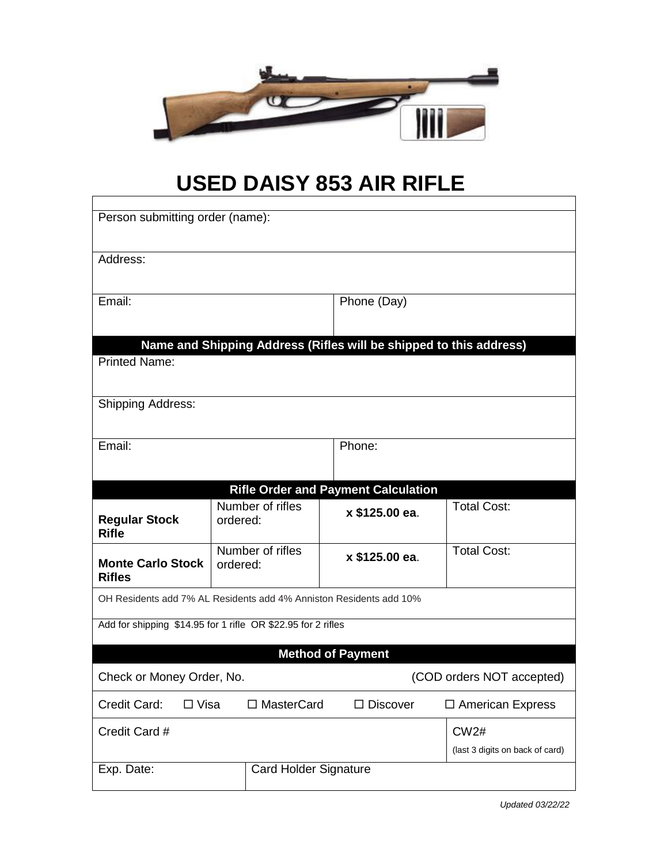

## **USED DAISY 853 AIR RIFLE**

| Person submitting order (name):                                                            |                              |                                            |                                                |  |
|--------------------------------------------------------------------------------------------|------------------------------|--------------------------------------------|------------------------------------------------|--|
| Address:                                                                                   |                              |                                            |                                                |  |
| Email:                                                                                     |                              | Phone (Day)                                |                                                |  |
| Name and Shipping Address (Rifles will be shipped to this address)<br><b>Printed Name:</b> |                              |                                            |                                                |  |
| <b>Shipping Address:</b>                                                                   |                              |                                            |                                                |  |
| Email:                                                                                     |                              | Phone:                                     |                                                |  |
|                                                                                            |                              | <b>Rifle Order and Payment Calculation</b> |                                                |  |
| <b>Regular Stock</b><br><b>Rifle</b>                                                       | Number of rifles<br>ordered: | x \$125.00 ea.                             | <b>Total Cost:</b>                             |  |
| <b>Monte Carlo Stock</b><br><b>Rifles</b>                                                  | Number of rifles<br>ordered: | x \$125.00 ea.                             | <b>Total Cost:</b>                             |  |
| OH Residents add 7% AL Residents add 4% Anniston Residents add 10%                         |                              |                                            |                                                |  |
| Add for shipping \$14.95 for 1 rifle OR \$22.95 for 2 rifles                               |                              |                                            |                                                |  |
| <b>Method of Payment</b>                                                                   |                              |                                            |                                                |  |
| Check or Money Order, No.<br>(COD orders NOT accepted)                                     |                              |                                            |                                                |  |
| Credit Card:<br>$\Box$ Visa                                                                | □ MasterCard                 | $\Box$ Discover                            | □ American Express                             |  |
| Credit Card #                                                                              |                              |                                            | <b>CW2#</b><br>(last 3 digits on back of card) |  |
| Exp. Date:                                                                                 | <b>Card Holder Signature</b> |                                            |                                                |  |